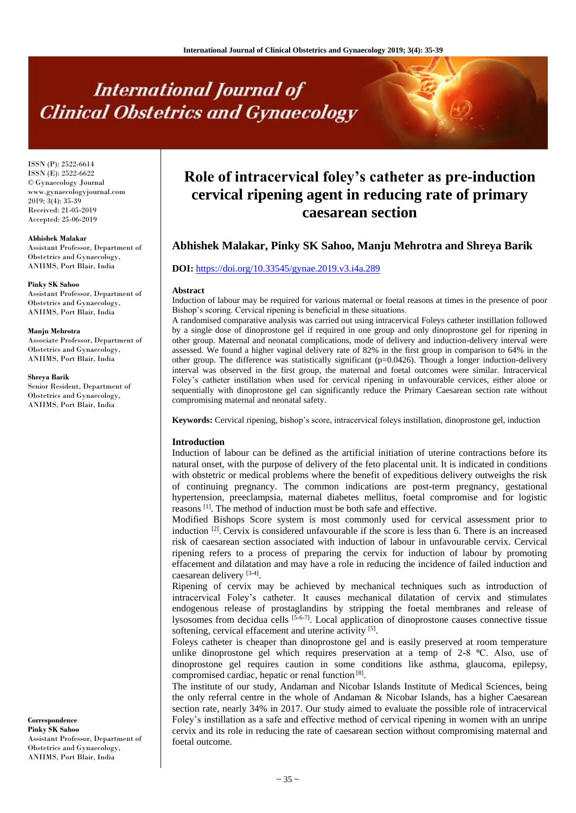# **International Journal of Clinical Obstetrics and Gynaecology**

ISSN (P): 2522-6614 ISSN (E): 2522-6622 © Gynaecology Journal www.gynaecologyjournal.com 2019; 3(4): 35-39 Received: 21-05-2019 Accepted: 25-06-2019

#### **Abhishek Malakar**

Assistant Professor, Department of Obstetrics and Gynaecology, ANIIMS, Port Blair, India

**Pinky SK Sahoo** Assistant Professor, Department of Obstetrics and Gynaecology,

ANIIMS, Port Blair, India

#### **Manju Mehrotra**

Associate Professor, Department of Obstetrics and Gynaecology, ANIIMS, Port Blair, India

**Shreya Barik**

Senior Resident, Department of Obstetrics and Gynaecology, ANIIMS, Port Blair, India

**Correspondence Pinky SK Sahoo** Assistant Professor, Department of Obstetrics and Gynaecology, ANIIMS, Port Blair, India

# **Role of intracervical foley's catheter as pre-induction cervical ripening agent in reducing rate of primary caesarean section**

# **Abhishek Malakar, Pinky SK Sahoo, Manju Mehrotra and Shreya Barik**

#### **DOI:** <https://doi.org/10.33545/gynae.2019.v3.i4a.289>

#### **Abstract**

Induction of labour may be required for various maternal or foetal reasons at times in the presence of poor Bishop's scoring. Cervical ripening is beneficial in these situations.

A randomised comparative analysis was carried out using intracervical Foleys catheter instillation followed by a single dose of dinoprostone gel if required in one group and only dinoprostone gel for ripening in other group. Maternal and neonatal complications, mode of delivery and induction-delivery interval were assessed. We found a higher vaginal delivery rate of 82% in the first group in comparison to 64% in the other group. The difference was statistically significant (p=0.0426). Though a longer induction-delivery interval was observed in the first group, the maternal and foetal outcomes were similar. Intracervical Foley's catheter instillation when used for cervical ripening in unfavourable cervices, either alone or sequentially with dinoprostone gel can significantly reduce the Primary Caesarean section rate without compromising maternal and neonatal safety.

**Keywords:** Cervical ripening, bishop's score, intracervical foleys instillation, dinoprostone gel, induction

#### **Introduction**

Induction of labour can be defined as the artificial initiation of uterine contractions before its natural onset, with the purpose of delivery of the feto placental unit. It is indicated in conditions with obstetric or medical problems where the benefit of expeditious delivery outweighs the risk of continuing pregnancy. The common indications are post-term pregnancy, gestational hypertension, preeclampsia, maternal diabetes mellitus, foetal compromise and for logistic reasons<sup>[1]</sup>. The method of induction must be both safe and effective.

Modified Bishops Score system is most commonly used for cervical assessment prior to induction <sup>[2]</sup>. Cervix is considered unfavourable if the score is less than 6. There is an increased risk of caesarean section associated with induction of labour in unfavourable cervix. Cervical ripening refers to a process of preparing the cervix for induction of labour by promoting effacement and dilatation and may have a role in reducing the incidence of failed induction and caesarean delivery [3-4].

Ripening of cervix may be achieved by mechanical techniques such as introduction of intracervical Foley's catheter. It causes mechanical dilatation of cervix and stimulates endogenous release of prostaglandins by stripping the foetal membranes and release of lysosomes from decidua cells  $[5-6-7]$ . Local application of dinoprostone causes connective tissue softening, cervical effacement and uterine activity [5].

Foleys catheter is cheaper than dinoprostone gel and is easily preserved at room temperature unlike dinoprostone gel which requires preservation at a temp of  $2-8$  °C. Also, use of dinoprostone gel requires caution in some conditions like asthma, glaucoma, epilepsy, compromised cardiac, hepatic or renal function [8].

The institute of our study, Andaman and Nicobar Islands Institute of Medical Sciences, being the only referral centre in the whole of Andaman & Nicobar Islands, has a higher Caesarean section rate, nearly 34% in 2017. Our study aimed to evaluate the possible role of intracervical Foley's instillation as a safe and effective method of cervical ripening in women with an unripe cervix and its role in reducing the rate of caesarean section without compromising maternal and foetal outcome.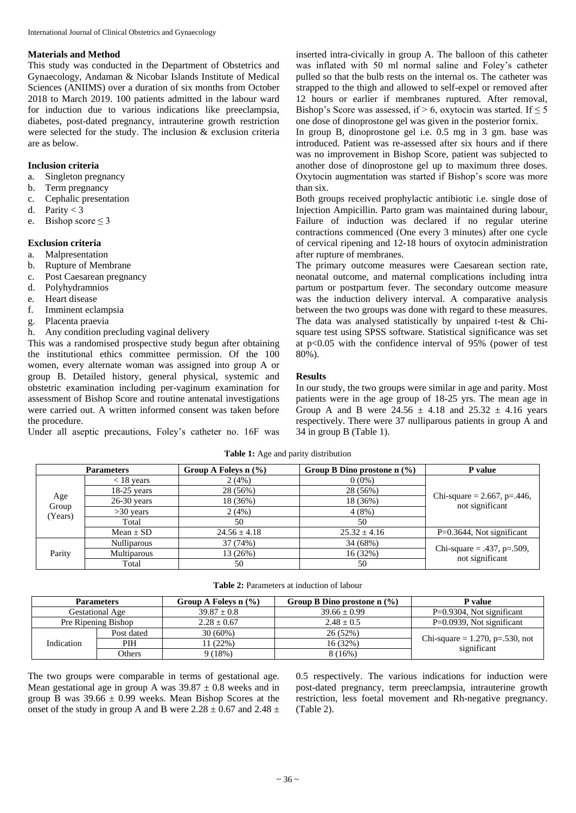#### **Materials and Method**

This study was conducted in the Department of Obstetrics and Gynaecology, Andaman & Nicobar Islands Institute of Medical Sciences (ANIIMS) over a duration of six months from October 2018 to March 2019. 100 patients admitted in the labour ward for induction due to various indications like preeclampsia, diabetes, post-dated pregnancy, intrauterine growth restriction were selected for the study. The inclusion  $\&$  exclusion criteria are as below.

## **Inclusion criteria**

- a. Singleton pregnancy
- b. Term pregnancy
- c. Cephalic presentation
- d. Parity  $< 3$
- e. Bishop score  $\leq 3$

#### **Exclusion criteria**

- a. Malpresentation
- b. Rupture of Membrane
- c. Post Caesarean pregnancy
- d. Polyhydramnios
- e. Heart disease
- f. Imminent eclampsia
- g. Placenta praevia
- h. Any condition precluding vaginal delivery

This was a randomised prospective study begun after obtaining the institutional ethics committee permission. Of the 100 women, every alternate woman was assigned into group A or group B. Detailed history, general physical, systemic and obstetric examination including per-vaginum examination for assessment of Bishop Score and routine antenatal investigations were carried out. A written informed consent was taken before the procedure.

Under all aseptic precautions, Foley's catheter no. 16F was

inserted intra-civically in group A. The balloon of this catheter was inflated with 50 ml normal saline and Foley's catheter pulled so that the bulb rests on the internal os. The catheter was strapped to the thigh and allowed to self-expel or removed after 12 hours or earlier if membranes ruptured. After removal, Bishop's Score was assessed, if > 6, oxytocin was started. If  $\leq$  5 one dose of dinoprostone gel was given in the posterior fornix.

In group B, dinoprostone gel i.e. 0.5 mg in 3 gm. base was introduced. Patient was re-assessed after six hours and if there was no improvement in Bishop Score, patient was subjected to another dose of dinoprostone gel up to maximum three doses. Oxytocin augmentation was started if Bishop's score was more than six.

Both groups received prophylactic antibiotic i.e. single dose of Injection Ampicillin. Parto gram was maintained during labour. Failure of induction was declared if no regular uterine contractions commenced (One every 3 minutes) after one cycle of cervical ripening and 12-18 hours of oxytocin administration after rupture of membranes.

The primary outcome measures were Caesarean section rate, neonatal outcome, and maternal complications including intra partum or postpartum fever. The secondary outcome measure was the induction delivery interval. A comparative analysis between the two groups was done with regard to these measures. The data was analysed statistically by unpaired t-test & Chisquare test using SPSS software. Statistical significance was set at  $p<0.05$  with the confidence interval of 95% (power of test 80%).

#### **Results**

In our study, the two groups were similar in age and parity. Most patients were in the age group of 18-25 yrs. The mean age in Group A and B were  $24.56 \pm 4.18$  and  $25.32 \pm 4.16$  years respectively. There were 37 nulliparous patients in group A and 34 in group B (Table 1).

**Table 1:** Age and parity distribution

|                         | <b>Parameters</b>  | Group A Foleys $n$ (%) | Group B Dino prostone $n$ (%) | P value                                          |  |
|-------------------------|--------------------|------------------------|-------------------------------|--------------------------------------------------|--|
| Age<br>Group<br>(Years) | $<$ 18 years       | 2(4%)                  | $0(0\%)$                      | Chi-square = 2.667, p=.446,<br>not significant   |  |
|                         | $18-25$ years      | 28 (56%)               | 28 (56%)                      |                                                  |  |
|                         | $26-30$ years      | 18 (36%)               | 18 (36%)                      |                                                  |  |
|                         | $>30$ years        | 2(4%)                  | 4(8%)                         |                                                  |  |
|                         | Total              | 50                     | 50                            |                                                  |  |
|                         | Mean $\pm$ SD      | $24.56 \pm 4.18$       | $25.32 \pm 4.16$              | $P=0.3644$ , Not significant                     |  |
| Parity                  | <b>Nulliparous</b> | 37 (74%)               | 34 (68%)                      | Chi-square = .437, $p=.509$ ,<br>not significant |  |
|                         | <b>Multiparous</b> | 13 (26%)               | 16 (32%)                      |                                                  |  |
|                         | Total              | 50                     | 50                            |                                                  |  |

| <b>Parameters</b> |                     | Group A Folevs $n$ (%) | Group B Dino prostone $n$ (%) | <b>P</b> value                     |
|-------------------|---------------------|------------------------|-------------------------------|------------------------------------|
| Gestational Age   |                     | $39.87 \pm 0.8$        | $39.66 \pm 0.99$              | $P=0.9304$ , Not significant       |
|                   | Pre Ripening Bishop | $2.28 + 0.67$          | $2.48 + 0.5$                  | $P=0.0939$ , Not significant       |
|                   | Post dated          | $30(60\%)$             | 26(52%)                       |                                    |
| <b>Indication</b> | PIH                 | 11 (22%)               | 16 (32%)                      | Chi-square = 1.270, $p=.530$ , not |
|                   | Others              | 9(18%)                 | 8 (16%)                       | significant                        |

The two groups were comparable in terms of gestational age. Mean gestational age in group A was  $39.87 \pm 0.8$  weeks and in group B was  $39.66 \pm 0.99$  weeks. Mean Bishop Scores at the onset of the study in group A and B were  $2.28 \pm 0.67$  and  $2.48 \pm 1.6$  0.5 respectively. The various indications for induction were post-dated pregnancy, term preeclampsia, intrauterine growth restriction, less foetal movement and Rh-negative pregnancy. (Table 2).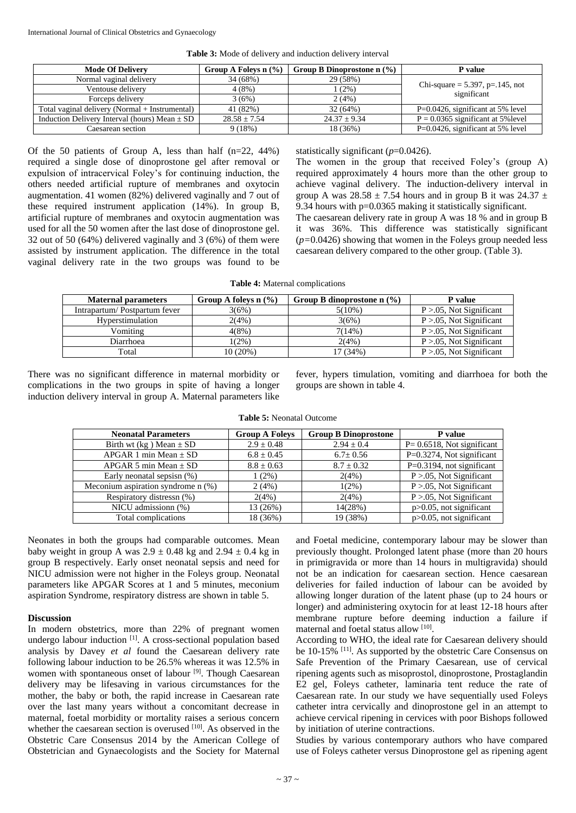| <b>Mode Of Delivery</b>                           | Group A Folevs $n$ (%) | Group B Dinoprostone n $(\%)$ | <b>P</b> value                                    |  |
|---------------------------------------------------|------------------------|-------------------------------|---------------------------------------------------|--|
| Normal vaginal delivery                           | 34 (68%)               | 29 (58%)                      | Chi-square = $5.397$ , p=.145, not<br>significant |  |
| Ventouse delivery                                 | 4(8%)                  | $(2\%)$                       |                                                   |  |
| Forceps delivery                                  | 3(6%)                  | 2(4%)                         |                                                   |  |
| Total vaginal delivery (Normal + Instrumental)    | 41 (82%)               | 32 (64%)                      | $P=0.0426$ , significant at 5% level              |  |
| Induction Delivery Interval (hours) Mean $\pm$ SD | $28.58 \pm 7.54$       | $24.37 \pm 9.34$              | $P = 0.0365$ significant at 5% level              |  |
| Caesarean section                                 | 9(18%)                 | 18 (36%)                      | $P=0.0426$ , significant at 5% level              |  |

**Table 3:** Mode of delivery and induction delivery interval

Of the 50 patients of Group A, less than half (n=22, 44%) required a single dose of dinoprostone gel after removal or expulsion of intracervical Foley's for continuing induction, the others needed artificial rupture of membranes and oxytocin augmentation. 41 women (82%) delivered vaginally and 7 out of these required instrument application (14%). In group B, artificial rupture of membranes and oxytocin augmentation was used for all the 50 women after the last dose of dinoprostone gel. 32 out of 50 (64%) delivered vaginally and 3 (6%) of them were assisted by instrument application. The difference in the total vaginal delivery rate in the two groups was found to be statistically significant (*p*=0.0426).

The women in the group that received Foley's (group A) required approximately 4 hours more than the other group to achieve vaginal delivery. The induction-delivery interval in group A was  $28.58 \pm 7.54$  hours and in group B it was  $24.37 \pm 7.54$ 9.34 hours with p=0.0365 making it statistically significant. The caesarean delivery rate in group A was 18 % and in group B it was 36%. This difference was statistically significant (*p=*0.0426) showing that women in the Foleys group needed less caesarean delivery compared to the other group. (Table 3).

| <b>Table 4:</b> Maternal complications |  |
|----------------------------------------|--|
|----------------------------------------|--|

| <b>Maternal parameters</b>   | Group A foleys $n$ (%) | Group B dinoprostone $n$ (%) | P value                      |
|------------------------------|------------------------|------------------------------|------------------------------|
| Intrapartum/Postpartum fever | 3(6%)                  | $5(10\%)$                    | $P > 0.05$ , Not Significant |
| Hyperstimulation             | 2(4%)                  | 3(6%)                        | $P > 0.05$ , Not Significant |
| Vomiting                     | 4(8%)                  | 7(14%)                       | $P > 0.05$ , Not Significant |
| Diarrhoea                    | $1(2\%)$               | 2(4%)                        | $P > 0.05$ , Not Significant |
| Total                        | 10(20%)                | 17 (34%)                     | $P > 0.05$ , Not Significant |

There was no significant difference in maternal morbidity or complications in the two groups in spite of having a longer induction delivery interval in group A. Maternal parameters like fever, hypers timulation, vomiting and diarrhoea for both the groups are shown in table 4.

| <b>Neonatal Parameters</b>           | <b>Group A Folevs</b> | <b>Group B Dinoprostone</b> | <b>P</b> value                 |
|--------------------------------------|-----------------------|-----------------------------|--------------------------------|
| Birth wt (kg) Mean $\pm$ SD          | $2.9 \pm 0.48$        | $2.94 \pm 0.4$              | $P = 0.6518$ , Not significant |
| $APGAR$ 1 min Mean + SD              | $6.8 \pm 0.45$        | $6.7 \pm 0.56$              | P=0.3274, Not significant      |
| APGAR 5 min Mean $\pm$ SD            | $8.8 \pm 0.63$        | $8.7 \pm 0.32$              | $P=0.3194$ , not significant   |
| Early neonatal sepsisn (%)           | $(2\%)$               | 2(4%)                       | $P > 0.05$ , Not Significant   |
| Meconium aspiration syndrome $n$ (%) | 2(4%)                 | $1(2\%)$                    | $P > 0.05$ , Not Significant   |
| Respiratory distressn (%)            | 2(4%)                 | 2(4%)                       | $P > 0.05$ , Not Significant   |
| NICU admissionn (%)                  | 13 (26%)              | 14(28%)                     | $p > 0.05$ , not significant   |
| Total complications                  | 18 (36%)              | 19 (38%)                    | $p > 0.05$ , not significant   |

**Table 5:** Neonatal Outcome

Neonates in both the groups had comparable outcomes. Mean baby weight in group A was  $2.9 \pm 0.48$  kg and  $2.94 \pm 0.4$  kg in group B respectively. Early onset neonatal sepsis and need for NICU admission were not higher in the Foleys group. Neonatal parameters like APGAR Scores at 1 and 5 minutes, meconium aspiration Syndrome, respiratory distress are shown in table 5.

## **Discussion**

In modern obstetrics, more than 22% of pregnant women undergo labour induction <sup>[1]</sup>. A cross-sectional population based analysis by Davey *et al* found the Caesarean delivery rate following labour induction to be 26.5% whereas it was 12.5% in women with spontaneous onset of labour <sup>[9]</sup>. Though Caesarean delivery may be lifesaving in various circumstances for the mother, the baby or both, the rapid increase in Caesarean rate over the last many years without a concomitant decrease in maternal, foetal morbidity or mortality raises a serious concern whether the caesarean section is overused [10]. As observed in the Obstetric Care Consensus 2014 by the American College of Obstetrician and Gynaecologists and the Society for Maternal

and Foetal medicine, contemporary labour may be slower than previously thought. Prolonged latent phase (more than 20 hours in primigravida or more than 14 hours in multigravida) should not be an indication for caesarean section. Hence caesarean deliveries for failed induction of labour can be avoided by allowing longer duration of the latent phase (up to 24 hours or longer) and administering oxytocin for at least 12-18 hours after membrane rupture before deeming induction a failure if maternal and foetal status allow [10].

According to WHO, the ideal rate for Caesarean delivery should be 10-15% <sup>[11]</sup>. As supported by the obstetric Care Consensus on Safe Prevention of the Primary Caesarean, use of cervical ripening agents such as misoprostol, dinoprostone, Prostaglandin E2 gel, Foleys catheter, laminaria tent reduce the rate of Caesarean rate. In our study we have sequentially used Foleys catheter intra cervically and dinoprostone gel in an attempt to achieve cervical ripening in cervices with poor Bishops followed by initiation of uterine contractions.

Studies by various contemporary authors who have compared use of Foleys catheter versus Dinoprostone gel as ripening agent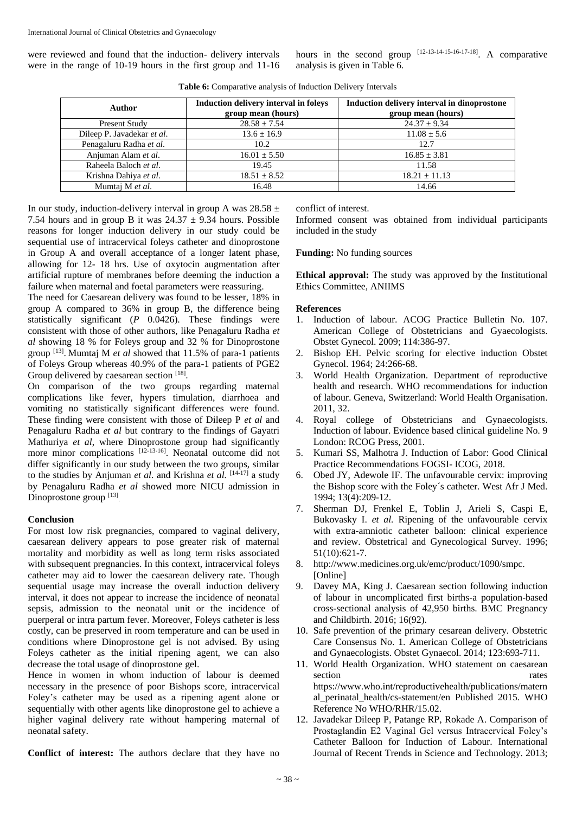were reviewed and found that the induction- delivery intervals were in the range of 10-19 hours in the first group and 11-16

hours in the second group  $[12-13-14-15-16-17-18]$ . A comparative analysis is given in Table 6.

| <b>Author</b>              | Induction delivery interval in foleys<br>group mean (hours) | Induction delivery interval in dinoprostone<br>group mean (hours) |
|----------------------------|-------------------------------------------------------------|-------------------------------------------------------------------|
| Present Study              | $28.58 \pm 7.54$                                            | $24.37 \pm 9.34$                                                  |
| Dileep P. Javadekar et al. | $13.6 \pm 16.9$                                             | $11.08 \pm 5.6$                                                   |
| Penagaluru Radha et al.    | 10.2                                                        | 12.7                                                              |
| Anjuman Alam et al.        | $16.01 \pm 5.50$                                            | $16.85 \pm 3.81$                                                  |
| Raheela Baloch et al.      | 19.45                                                       | 11.58                                                             |
| Krishna Dahiya et al.      | $18.51 \pm 8.52$                                            | $18.21 + 11.13$                                                   |
| Mumtaj M et al.            | 16.48                                                       | 14.66                                                             |

**Table 6:** Comparative analysis of Induction Delivery Intervals

In our study, induction-delivery interval in group A was  $28.58 \pm$ 7.54 hours and in group B it was  $24.37 \pm 9.34$  hours. Possible reasons for longer induction delivery in our study could be sequential use of intracervical foleys catheter and dinoprostone in Group A and overall acceptance of a longer latent phase, allowing for 12- 18 hrs. Use of oxytocin augmentation after artificial rupture of membranes before deeming the induction a failure when maternal and foetal parameters were reassuring.

The need for Caesarean delivery was found to be lesser, 18% in group A compared to 36% in group B, the difference being statistically significant (*P* 0.0426). These findings were consistent with those of other authors, like Penagaluru Radha *et al* showing 18 % for Foleys group and 32 % for Dinoprostone group<sup>[13]</sup>. Mumtaj M *et al* showed that 11.5% of para-1 patients of Foleys Group whereas 40.9% of the para-1 patients of PGE2 Group delivered by caesarean section [18].

On comparison of the two groups regarding maternal complications like fever, hypers timulation, diarrhoea and vomiting no statistically significant differences were found. These finding were consistent with those of Dileep P *et al* and Penagaluru Radha *et al* but contrary to the findings of Gayatri Mathuriya *et al*, where Dinoprostone group had significantly more minor complications [12-13-16]. Neonatal outcome did not differ significantly in our study between the two groups, similar to the studies by Anjuman *et al*. and Krishna *et al.*  [14-17] a study by Penagaluru Radha *et al* showed more NICU admission in Dinoprostone group [13]

#### **Conclusion**

For most low risk pregnancies, compared to vaginal delivery, caesarean delivery appears to pose greater risk of maternal mortality and morbidity as well as long term risks associated with subsequent pregnancies. In this context, intracervical foleys catheter may aid to lower the caesarean delivery rate. Though sequential usage may increase the overall induction delivery interval, it does not appear to increase the incidence of neonatal sepsis, admission to the neonatal unit or the incidence of puerperal or intra partum fever. Moreover, Foleys catheter is less costly, can be preserved in room temperature and can be used in conditions where Dinoprostone gel is not advised. By using Foleys catheter as the initial ripening agent, we can also decrease the total usage of dinoprostone gel.

Hence in women in whom induction of labour is deemed necessary in the presence of poor Bishops score, intracervical Foley's catheter may be used as a ripening agent alone or sequentially with other agents like dinoprostone gel to achieve a higher vaginal delivery rate without hampering maternal of neonatal safety.

**Conflict of interest:** The authors declare that they have no

conflict of interest.

Informed consent was obtained from individual participants included in the study

#### **Funding:** No funding sources

**Ethical approval:** The study was approved by the Institutional Ethics Committee, ANIIMS

#### **References**

- 1. Induction of labour. ACOG Practice Bulletin No. 107. American College of Obstetricians and Gyaecologists. Obstet Gynecol. 2009; 114:386-97.
- 2. Bishop EH. Pelvic scoring for elective induction Obstet Gynecol. 1964; 24:266-68.
- 3. World Health Organization. Department of reproductive health and research. WHO recommendations for induction of labour. Geneva, Switzerland: World Health Organisation. 2011, 32.
- 4. Royal college of Obstetricians and Gynaecologists. Induction of labour. Evidence based clinical guideline No. 9 London: RCOG Press, 2001.
- 5. Kumari SS, Malhotra J. Induction of Labor: Good Clinical Practice Recommendations FOGSI- ICOG, 2018.
- 6. Obed JY, Adewole IF. The unfavourable cervix: improving the Bishop score with the Foley´s catheter. West Afr J Med. 1994; 13(4):209-12.
- 7. Sherman DJ, Frenkel E, Toblin J, Arieli S, Caspi E, Bukovasky I. *et al.* Ripening of the unfavourable cervix with extra-amniotic catheter balloon: clinical experience and review. Obstetrical and Gynecological Survey. 1996; 51(10):621-7.
- 8. http://www.medicines.org.uk/emc/product/1090/smpc. [Online]
- 9. Davey MA, King J. Caesarean section following induction of labour in uncomplicated first births-a population-based cross-sectional analysis of 42,950 births. BMC Pregnancy and Childbirth. 2016; 16(92).
- 10. Safe prevention of the primary cesarean delivery. Obstetric Care Consensus No. 1. American College of Obstetricians and Gynaecologists. Obstet Gynaecol. 2014; 123:693-711.
- 11. World Health Organization. WHO statement on caesarean section rates https://www.who.int/reproductivehealth/publications/matern al\_perinatal\_health/cs-statement/en Published 2015. WHO Reference No WHO/RHR/15.02.
- 12. Javadekar Dileep P, Patange RP, Rokade A. Comparison of Prostaglandin E2 Vaginal Gel versus Intracervical Foley's Catheter Balloon for Induction of Labour. International Journal of Recent Trends in Science and Technology. 2013;